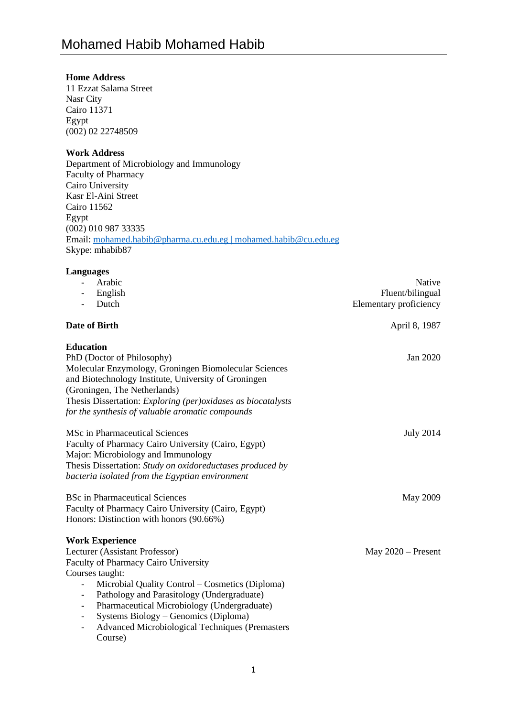# **Home Address**

11 Ezzat Salama Street Nasr City Cairo 11371 Egypt (002) 02 22748509

# **Work Address**

Department of Microbiology and Immunology Faculty of Pharmacy Cairo University Kasr El-Aini Street Cairo 11562 Egypt (002) 010 987 33335 Email: [mohamed.habib@pharma.cu.edu.eg](mailto:mohamed.habib@pharma.cu.edu.eg) | mohamed.habib@cu.edu.eg Skype: mhabib87

### **Languages**

| Arabic                                                                             | Native                 |
|------------------------------------------------------------------------------------|------------------------|
| English                                                                            | Fluent/bilingual       |
| Dutch                                                                              | Elementary proficiency |
| Date of Birth                                                                      | April 8, 1987          |
| <b>Education</b>                                                                   |                        |
| PhD (Doctor of Philosophy)                                                         | Jan 2020               |
| Molecular Enzymology, Groningen Biomolecular Sciences                              |                        |
| and Biotechnology Institute, University of Groningen                               |                        |
| (Groningen, The Netherlands)                                                       |                        |
| Thesis Dissertation: Exploring (per)oxidases as biocatalysts                       |                        |
| for the synthesis of valuable aromatic compounds                                   |                        |
| <b>MSc in Pharmaceutical Sciences</b>                                              | July 2014              |
| Faculty of Pharmacy Cairo University (Cairo, Egypt)                                |                        |
| Major: Microbiology and Immunology                                                 |                        |
| Thesis Dissertation: Study on oxidoreductases produced by                          |                        |
| bacteria isolated from the Egyptian environment                                    |                        |
| <b>BSc in Pharmaceutical Sciences</b>                                              | May 2009               |
| Faculty of Pharmacy Cairo University (Cairo, Egypt)                                |                        |
| Honors: Distinction with honors (90.66%)                                           |                        |
| <b>Work Experience</b>                                                             |                        |
| Lecturer (Assistant Professor)                                                     | May $2020$ – Present   |
| <b>Faculty of Pharmacy Cairo University</b>                                        |                        |
| Courses taught:                                                                    |                        |
| Microbial Quality Control - Cosmetics (Diploma)<br>$\overline{\phantom{0}}$        |                        |
| Pathology and Parasitology (Undergraduate)<br>$\overline{\phantom{a}}$             |                        |
| Pharmaceutical Microbiology (Undergraduate)                                        |                        |
| Systems Biology – Genomics (Diploma)<br>$\overline{\phantom{a}}$                   |                        |
| <b>Advanced Microbiological Techniques (Premasters</b><br>$\overline{\phantom{a}}$ |                        |
| Course)                                                                            |                        |
|                                                                                    |                        |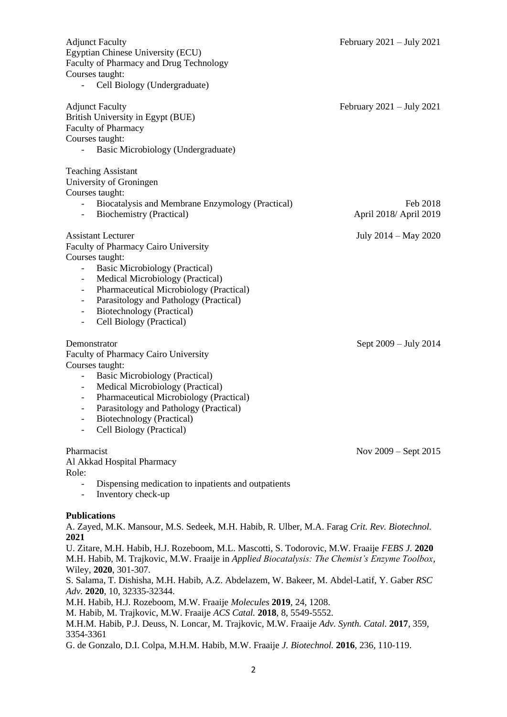| <b>Adjunct Faculty</b><br>Egyptian Chinese University (ECU)<br>Faculty of Pharmacy and Drug Technology<br>Courses taught:<br>Cell Biology (Undergraduate)                                                                                                                                                                                                                                                                                                                                                                                                | February $2021 - July 2021$        |  |
|----------------------------------------------------------------------------------------------------------------------------------------------------------------------------------------------------------------------------------------------------------------------------------------------------------------------------------------------------------------------------------------------------------------------------------------------------------------------------------------------------------------------------------------------------------|------------------------------------|--|
| <b>Adjunct Faculty</b><br>British University in Egypt (BUE)<br>Faculty of Pharmacy<br>Courses taught:<br>Basic Microbiology (Undergraduate)                                                                                                                                                                                                                                                                                                                                                                                                              | February $2021 - July 2021$        |  |
| <b>Teaching Assistant</b><br>University of Groningen<br>Courses taught:                                                                                                                                                                                                                                                                                                                                                                                                                                                                                  |                                    |  |
| Biocatalysis and Membrane Enzymology (Practical)<br>÷,<br>Biochemistry (Practical)<br>$\overline{\phantom{0}}$                                                                                                                                                                                                                                                                                                                                                                                                                                           | Feb 2018<br>April 2018/ April 2019 |  |
| <b>Assistant Lecturer</b><br>Faculty of Pharmacy Cairo University<br>Courses taught:<br><b>Basic Microbiology (Practical)</b><br>-<br>Medical Microbiology (Practical)<br>-<br>Pharmaceutical Microbiology (Practical)<br>$\overline{\phantom{0}}$<br>Parasitology and Pathology (Practical)<br>$\overline{\phantom{0}}$<br>Biotechnology (Practical)<br>$\overline{\phantom{0}}$<br>Cell Biology (Practical)<br>$\overline{\phantom{0}}$                                                                                                                | July 2014 – May 2020               |  |
| Demonstrator<br>Faculty of Pharmacy Cairo University<br>Courses taught:<br><b>Basic Microbiology (Practical)</b><br>$\overline{\phantom{0}}$<br>Medical Microbiology (Practical)<br>$\overline{\phantom{0}}$<br>Pharmaceutical Microbiology (Practical)<br>$\overline{\phantom{0}}$<br>Parasitology and Pathology (Practical)<br>Biotechnology (Practical)<br>Cell Biology (Practical)                                                                                                                                                                   | Sept 2009 – July 2014              |  |
| Pharmacist<br>Al Akkad Hospital Pharmacy<br>Role:                                                                                                                                                                                                                                                                                                                                                                                                                                                                                                        | Nov $2009 -$ Sept $2015$           |  |
| Dispensing medication to inpatients and outpatients<br>$\overline{\phantom{0}}$<br>Inventory check-up<br>$\overline{\phantom{0}}$                                                                                                                                                                                                                                                                                                                                                                                                                        |                                    |  |
| <b>Publications</b><br>A. Zayed, M.K. Mansour, M.S. Sedeek, M.H. Habib, R. Ulber, M.A. Farag Crit. Rev. Biotechnol.<br>2021<br>U. Zitare, M.H. Habib, H.J. Rozeboom, M.L. Mascotti, S. Todorovic, M.W. Fraaije FEBS J. 2020<br>M.H. Habib, M. Trajkovic, M.W. Fraaije in Applied Biocatalysis: The Chemist's Enzyme Toolbox,<br>Wiley, 2020, 301-307.<br>S. Salama, T. Dishisha, M.H. Habib, A.Z. Abdelazem, W. Bakeer, M. Abdel-Latif, Y. Gaber RSC<br>Adv. 2020, 10, 32335-32344.<br>M.H. Habib, H.J. Rozeboom, M.W. Fraaije Molecules 2019, 24, 1208. |                                    |  |
| M. Habib, M. Trajkovic, M.W. Fraaije ACS Catal. 2018, 8, 5549-5552.<br>M.H.M. Habib, P.J. Deuss, N. Loncar, M. Trajkovic, M.W. Fraaije Adv. Synth. Catal. 2017, 359,<br>3354-3361                                                                                                                                                                                                                                                                                                                                                                        |                                    |  |

G. de Gonzalo, D.I. Colpa, M.H.M. Habib, M.W. Fraaije *J. Biotechnol.* **2016**, 236, 110-119.